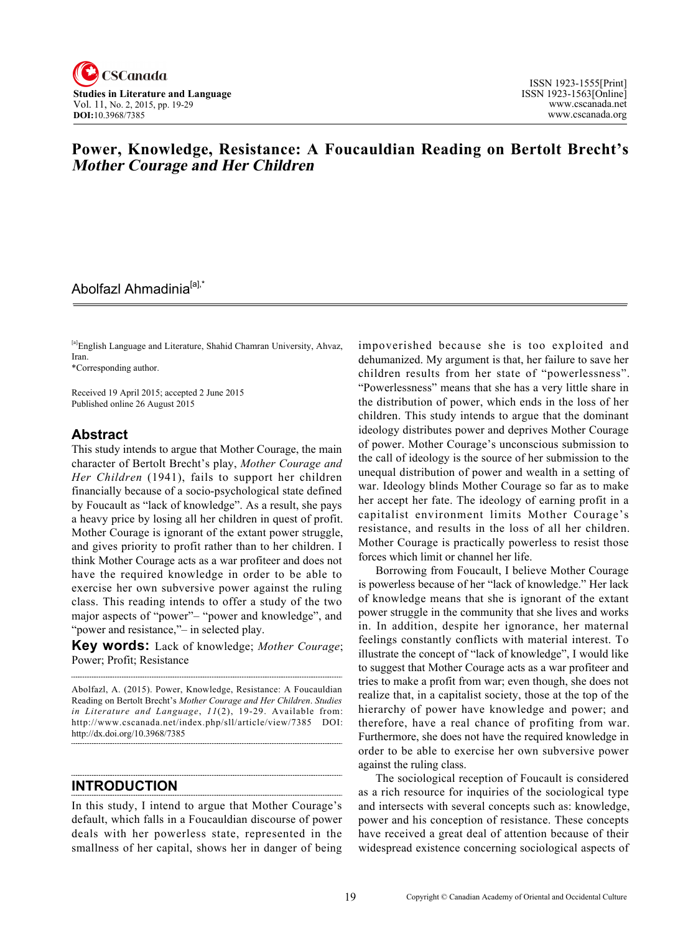

# **Power, Knowledge, Resistance: A Foucauldian Reading on Bertolt Brecht's Mother Courage and Her Children**

### Abolfazl Ahmadinia<sup>[a],\*</sup>

[a]English Language and Literature, Shahid Chamran University, Ahvaz, Iran.

\*Corresponding author.

Received 19 April 2015; accepted 2 June 2015 Published online 26 August 2015

#### **Abstract**

This study intends to argue that Mother Courage, the main character of Bertolt Brecht's play, *Mother Courage and Her Children* (1941), fails to support her children financially because of a socio-psychological state defined by Foucault as "lack of knowledge". As a result, she pays a heavy price by losing all her children in quest of profit. Mother Courage is ignorant of the extant power struggle, and gives priority to profit rather than to her children. I think Mother Courage acts as a war profiteer and does not have the required knowledge in order to be able to exercise her own subversive power against the ruling class. This reading intends to offer a study of the two major aspects of "power"– "power and knowledge", and "power and resistance,"– in selected play.

**Key words:** Lack of knowledge; *Mother Courage*; Power; Profit; Resistance

Abolfazl, A. (2015). Power, Knowledge, Resistance: A Foucauldian Reading on Bertolt Brecht's *Mother Courage and Her Children*. *Studies in Literature and Language*, *11*(2), 19-29. Available from: http://www.cscanada.net/index.php/sll/article/view/7385 DOI: http://dx.doi.org/10.3968/7385

**INTRODUCTION**

In this study, I intend to argue that Mother Courage's default, which falls in a Foucauldian discourse of power deals with her powerless state, represented in the smallness of her capital, shows her in danger of being impoverished because she is too exploited and dehumanized. My argument is that, her failure to save her children results from her state of "powerlessness". "Powerlessness" means that she has a very little share in the distribution of power, which ends in the loss of her children. This study intends to argue that the dominant ideology distributes power and deprives Mother Courage of power. Mother Courage's unconscious submission to the call of ideology is the source of her submission to the unequal distribution of power and wealth in a setting of war. Ideology blinds Mother Courage so far as to make her accept her fate. The ideology of earning profit in a capitalist environment limits Mother Courage's resistance, and results in the loss of all her children. Mother Courage is practically powerless to resist those forces which limit or channel her life.

Borrowing from Foucault, I believe Mother Courage is powerless because of her "lack of knowledge." Her lack of knowledge means that she is ignorant of the extant power struggle in the community that she lives and works in. In addition, despite her ignorance, her maternal feelings constantly conflicts with material interest. To illustrate the concept of "lack of knowledge", I would like to suggest that Mother Courage acts as a war profiteer and tries to make a profit from war; even though, she does not realize that, in a capitalist society, those at the top of the hierarchy of power have knowledge and power; and therefore, have a real chance of profiting from war. Furthermore, she does not have the required knowledge in order to be able to exercise her own subversive power against the ruling class.

The sociological reception of Foucault is considered as a rich resource for inquiries of the sociological type and intersects with several concepts such as: knowledge, power and his conception of resistance. These concepts have received a great deal of attention because of their widespread existence concerning sociological aspects of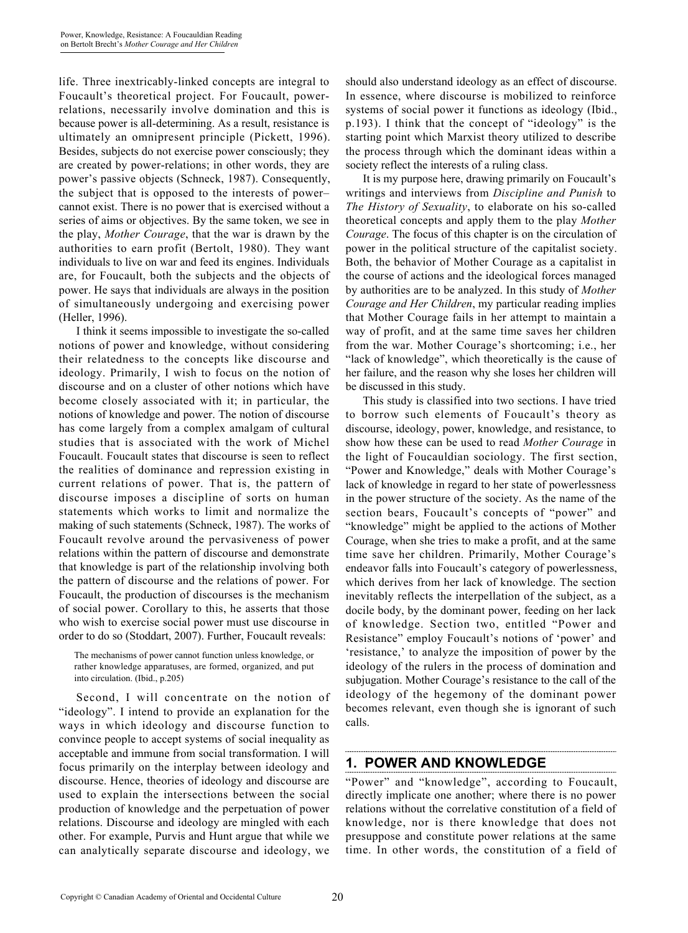life. Three inextricably-linked concepts are integral to Foucault's theoretical project. For Foucault, powerrelations, necessarily involve domination and this is because power is all-determining. As a result, resistance is ultimately an omnipresent principle (Pickett, 1996). Besides, subjects do not exercise power consciously; they are created by power-relations; in other words, they are power's passive objects (Schneck, 1987). Consequently, the subject that is opposed to the interests of power– cannot exist. There is no power that is exercised without a series of aims or objectives. By the same token, we see in the play, *Mother Courage*, that the war is drawn by the authorities to earn profit (Bertolt, 1980). They want individuals to live on war and feed its engines. Individuals are, for Foucault, both the subjects and the objects of power. He says that individuals are always in the position of simultaneously undergoing and exercising power (Heller, 1996).

I think it seems impossible to investigate the so-called notions of power and knowledge, without considering their relatedness to the concepts like discourse and ideology. Primarily, I wish to focus on the notion of discourse and on a cluster of other notions which have become closely associated with it; in particular, the notions of knowledge and power. The notion of discourse has come largely from a complex amalgam of cultural studies that is associated with the work of Michel Foucault. Foucault states that discourse is seen to reflect the realities of dominance and repression existing in current relations of power. That is, the pattern of discourse imposes a discipline of sorts on human statements which works to limit and normalize the making of such statements (Schneck, 1987). The works of Foucault revolve around the pervasiveness of power relations within the pattern of discourse and demonstrate that knowledge is part of the relationship involving both the pattern of discourse and the relations of power. For Foucault, the production of discourses is the mechanism of social power. Corollary to this, he asserts that those who wish to exercise social power must use discourse in order to do so (Stoddart, 2007). Further, Foucault reveals:

The mechanisms of power cannot function unless knowledge, or rather knowledge apparatuses, are formed, organized, and put into circulation. (Ibid., p.205)

Second, I will concentrate on the notion of "ideology". I intend to provide an explanation for the ways in which ideology and discourse function to convince people to accept systems of social inequality as acceptable and immune from social transformation. I will focus primarily on the interplay between ideology and discourse. Hence, theories of ideology and discourse are used to explain the intersections between the social production of knowledge and the perpetuation of power relations. Discourse and ideology are mingled with each other. For example, Purvis and Hunt argue that while we can analytically separate discourse and ideology, we

should also understand ideology as an effect of discourse. In essence, where discourse is mobilized to reinforce systems of social power it functions as ideology (Ibid., p.193). I think that the concept of "ideology" is the starting point which Marxist theory utilized to describe the process through which the dominant ideas within a society reflect the interests of a ruling class.

It is my purpose here, drawing primarily on Foucault's writings and interviews from *Discipline and Punish* to *The History of Sexuality*, to elaborate on his so-called theoretical concepts and apply them to the play *Mother Courage*. The focus of this chapter is on the circulation of power in the political structure of the capitalist society. Both, the behavior of Mother Courage as a capitalist in the course of actions and the ideological forces managed by authorities are to be analyzed. In this study of *Mother Courage and Her Children*, my particular reading implies that Mother Courage fails in her attempt to maintain a way of profit, and at the same time saves her children from the war. Mother Courage's shortcoming; i.e., her "lack of knowledge", which theoretically is the cause of her failure, and the reason why she loses her children will be discussed in this study.

This study is classified into two sections. I have tried to borrow such elements of Foucault's theory as discourse, ideology, power, knowledge, and resistance, to show how these can be used to read *Mother Courage* in the light of Foucauldian sociology. The first section, "Power and Knowledge," deals with Mother Courage's lack of knowledge in regard to her state of powerlessness in the power structure of the society. As the name of the section bears, Foucault's concepts of "power" and "knowledge" might be applied to the actions of Mother Courage, when she tries to make a profit, and at the same time save her children. Primarily, Mother Courage's endeavor falls into Foucault's category of powerlessness, which derives from her lack of knowledge. The section inevitably reflects the interpellation of the subject, as a docile body, by the dominant power, feeding on her lack of knowledge. Section two, entitled "Power and Resistance" employ Foucault's notions of 'power' and 'resistance,' to analyze the imposition of power by the ideology of the rulers in the process of domination and subjugation. Mother Courage's resistance to the call of the ideology of the hegemony of the dominant power becomes relevant, even though she is ignorant of such calls.

## **1. POWER AND KNOWLEDGE**

"Power" and "knowledge", according to Foucault, directly implicate one another; where there is no power relations without the correlative constitution of a field of knowledge, nor is there knowledge that does not presuppose and constitute power relations at the same time. In other words, the constitution of a field of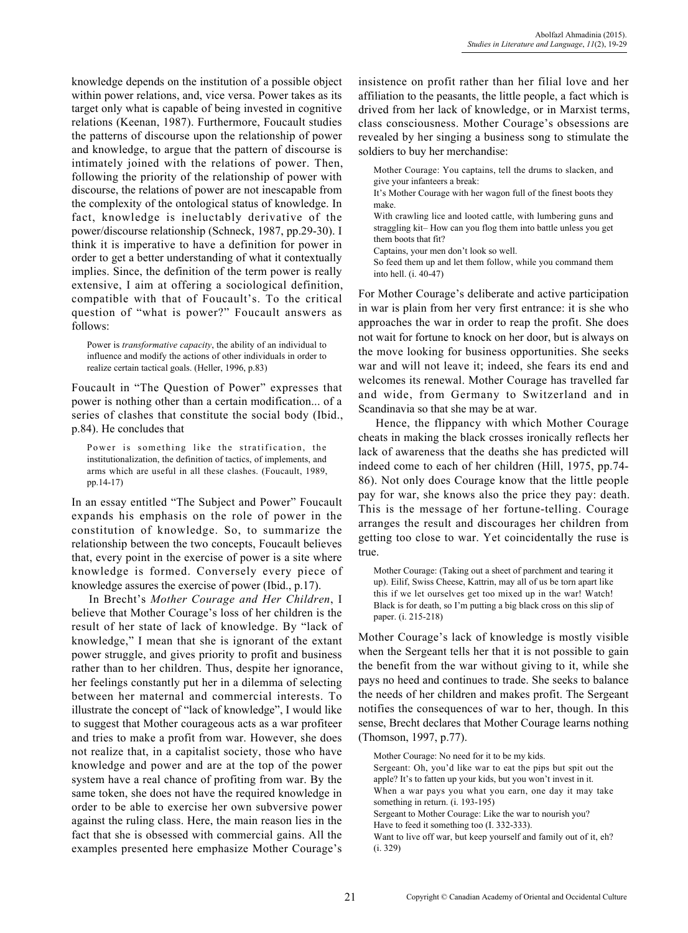knowledge depends on the institution of a possible object within power relations, and, vice versa. Power takes as its target only what is capable of being invested in cognitive relations (Keenan, 1987). Furthermore, Foucault studies the patterns of discourse upon the relationship of power and knowledge, to argue that the pattern of discourse is intimately joined with the relations of power. Then, following the priority of the relationship of power with discourse, the relations of power are not inescapable from the complexity of the ontological status of knowledge. In fact, knowledge is ineluctably derivative of the power/discourse relationship (Schneck, 1987, pp.29-30). I think it is imperative to have a definition for power in order to get a better understanding of what it contextually implies. Since, the definition of the term power is really extensive, I aim at offering a sociological definition, compatible with that of Foucault's. To the critical question of "what is power?" Foucault answers as follows:

Power is *transformative capacity*, the ability of an individual to influence and modify the actions of other individuals in order to realize certain tactical goals. (Heller, 1996, p.83)

Foucault in "The Question of Power" expresses that power is nothing other than a certain modification... of a series of clashes that constitute the social body (Ibid., p.84). He concludes that

Power is something like the stratification, the institutionalization, the definition of tactics, of implements, and arms which are useful in all these clashes. (Foucault, 1989, pp.14-17)

In an essay entitled "The Subject and Power" Foucault expands his emphasis on the role of power in the constitution of knowledge. So, to summarize the relationship between the two concepts, Foucault believes that, every point in the exercise of power is a site where knowledge is formed. Conversely every piece of knowledge assures the exercise of power (Ibid., p.17).

In Brecht's *Mother Courage and Her Children*, I believe that Mother Courage's loss of her children is the result of her state of lack of knowledge. By "lack of knowledge," I mean that she is ignorant of the extant power struggle, and gives priority to profit and business rather than to her children. Thus, despite her ignorance, her feelings constantly put her in a dilemma of selecting between her maternal and commercial interests. To illustrate the concept of "lack of knowledge", I would like to suggest that Mother courageous acts as a war profiteer and tries to make a profit from war. However, she does not realize that, in a capitalist society, those who have knowledge and power and are at the top of the power system have a real chance of profiting from war. By the same token, she does not have the required knowledge in order to be able to exercise her own subversive power against the ruling class. Here, the main reason lies in the fact that she is obsessed with commercial gains. All the examples presented here emphasize Mother Courage's insistence on profit rather than her filial love and her affiliation to the peasants, the little people, a fact which is drived from her lack of knowledge, or in Marxist terms, class consciousness. Mother Courage's obsessions are revealed by her singing a business song to stimulate the soldiers to buy her merchandise:

Mother Courage: You captains, tell the drums to slacken, and give your infanteers a break:

It's Mother Courage with her wagon full of the finest boots they make.

With crawling lice and looted cattle, with lumbering guns and straggling kit– How can you flog them into battle unless you get them boots that fit?

Captains, your men don't look so well.

So feed them up and let them follow, while you command them into hell. (i. 40-47)

For Mother Courage's deliberate and active participation in war is plain from her very first entrance: it is she who approaches the war in order to reap the profit. She does not wait for fortune to knock on her door, but is always on the move looking for business opportunities. She seeks war and will not leave it; indeed, she fears its end and welcomes its renewal. Mother Courage has travelled far and wide, from Germany to Switzerland and in Scandinavia so that she may be at war.

Hence, the flippancy with which Mother Courage cheats in making the black crosses ironically reflects her lack of awareness that the deaths she has predicted will indeed come to each of her children (Hill, 1975, pp.74- 86). Not only does Courage know that the little people pay for war, she knows also the price they pay: death. This is the message of her fortune-telling. Courage arranges the result and discourages her children from getting too close to war. Yet coincidentally the ruse is true.

Mother Courage: (Taking out a sheet of parchment and tearing it up). Eilif, Swiss Cheese, Kattrin, may all of us be torn apart like this if we let ourselves get too mixed up in the war! Watch! Black is for death, so I'm putting a big black cross on this slip of paper. (i. 215-218)

Mother Courage's lack of knowledge is mostly visible when the Sergeant tells her that it is not possible to gain the benefit from the war without giving to it, while she pays no heed and continues to trade. She seeks to balance the needs of her children and makes profit. The Sergeant notifies the consequences of war to her, though. In this sense, Brecht declares that Mother Courage learns nothing (Thomson, 1997, p.77).

Mother Courage: No need for it to be my kids. Sergeant: Oh, you'd like war to eat the pips but spit out the apple? It's to fatten up your kids, but you won't invest in it. When a war pays you what you earn, one day it may take something in return. (i. 193-195)

Sergeant to Mother Courage: Like the war to nourish you?

Have to feed it something too (I. 332-333).

Want to live off war, but keep yourself and family out of it, eh? (i. 329)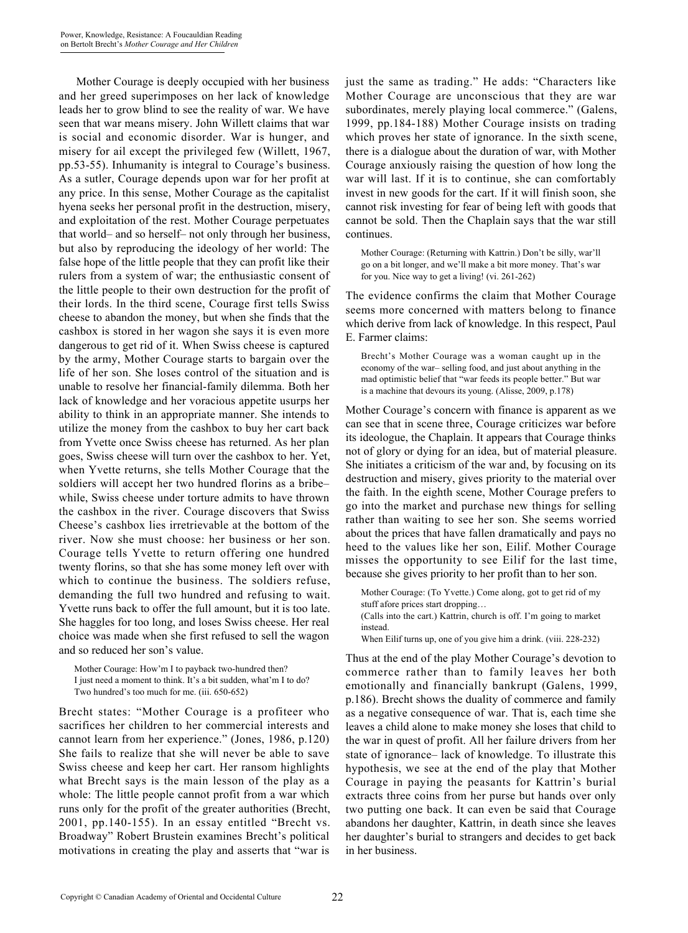Mother Courage is deeply occupied with her business and her greed superimposes on her lack of knowledge leads her to grow blind to see the reality of war. We have seen that war means misery. John Willett claims that war is social and economic disorder. War is hunger, and misery for ail except the privileged few (Willett, 1967, pp.53-55). Inhumanity is integral to Courage's business. As a sutler, Courage depends upon war for her profit at any price. In this sense, Mother Courage as the capitalist hyena seeks her personal profit in the destruction, misery, and exploitation of the rest. Mother Courage perpetuates that world– and so herself– not only through her business, but also by reproducing the ideology of her world: The false hope of the little people that they can profit like their rulers from a system of war; the enthusiastic consent of the little people to their own destruction for the profit of their lords. In the third scene, Courage first tells Swiss cheese to abandon the money, but when she finds that the cashbox is stored in her wagon she says it is even more dangerous to get rid of it. When Swiss cheese is captured by the army, Mother Courage starts to bargain over the life of her son. She loses control of the situation and is unable to resolve her financial-family dilemma. Both her lack of knowledge and her voracious appetite usurps her ability to think in an appropriate manner. She intends to utilize the money from the cashbox to buy her cart back from Yvette once Swiss cheese has returned. As her plan goes, Swiss cheese will turn over the cashbox to her. Yet, when Yvette returns, she tells Mother Courage that the soldiers will accept her two hundred florins as a bribe– while, Swiss cheese under torture admits to have thrown the cashbox in the river. Courage discovers that Swiss Cheese's cashbox lies irretrievable at the bottom of the river. Now she must choose: her business or her son. Courage tells Yvette to return offering one hundred twenty florins, so that she has some money left over with which to continue the business. The soldiers refuse, demanding the full two hundred and refusing to wait. Yvette runs back to offer the full amount, but it is too late. She haggles for too long, and loses Swiss cheese. Her real choice was made when she first refused to sell the wagon and so reduced her son's value.

Mother Courage: How'm I to payback two-hundred then? I just need a moment to think. It's a bit sudden, what'm I to do? Two hundred's too much for me. (iii. 650-652)

Brecht states: "Mother Courage is a profiteer who sacrifices her children to her commercial interests and cannot learn from her experience." (Jones, 1986, p.120) She fails to realize that she will never be able to save Swiss cheese and keep her cart. Her ransom highlights what Brecht says is the main lesson of the play as a whole: The little people cannot profit from a war which runs only for the profit of the greater authorities (Brecht, 2001, pp.140-155). In an essay entitled "Brecht vs. Broadway" Robert Brustein examines Brecht's political motivations in creating the play and asserts that "war is

just the same as trading." He adds: "Characters like Mother Courage are unconscious that they are war subordinates, merely playing local commerce." (Galens, 1999, pp.184-188) Mother Courage insists on trading which proves her state of ignorance. In the sixth scene, there is a dialogue about the duration of war, with Mother Courage anxiously raising the question of how long the war will last. If it is to continue, she can comfortably invest in new goods for the cart. If it will finish soon, she cannot risk investing for fear of being left with goods that cannot be sold. Then the Chaplain says that the war still continues.

Mother Courage: (Returning with Kattrin.) Don't be silly, war'll go on a bit longer, and we'll make a bit more money. That's war for you. Nice way to get a living! (vi. 261-262)

The evidence confirms the claim that Mother Courage seems more concerned with matters belong to finance which derive from lack of knowledge. In this respect, Paul E. Farmer claims:

Brecht's Mother Courage was a woman caught up in the economy of the war– selling food, and just about anything in the mad optimistic belief that "war feeds its people better." But war is a machine that devours its young. (Alisse, 2009, p.178)

Mother Courage's concern with finance is apparent as we can see that in scene three, Courage criticizes war before its ideologue, the Chaplain. It appears that Courage thinks not of glory or dying for an idea, but of material pleasure. She initiates a criticism of the war and, by focusing on its destruction and misery, gives priority to the material over the faith. In the eighth scene, Mother Courage prefers to go into the market and purchase new things for selling rather than waiting to see her son. She seems worried about the prices that have fallen dramatically and pays no heed to the values like her son, Eilif. Mother Courage misses the opportunity to see Eilif for the last time, because she gives priority to her profit than to her son.

Mother Courage: (To Yvette.) Come along, got to get rid of my stuff afore prices start dropping… (Calls into the cart.) Kattrin, church is off. I'm going to market instead.

When Eilif turns up, one of you give him a drink. (viii. 228-232)

Thus at the end of the play Mother Courage's devotion to commerce rather than to family leaves her both emotionally and financially bankrupt (Galens, 1999, p.186). Brecht shows the duality of commerce and family as a negative consequence of war. That is, each time she leaves a child alone to make money she loses that child to the war in quest of profit. All her failure drivers from her state of ignorance– lack of knowledge. To illustrate this hypothesis, we see at the end of the play that Mother Courage in paying the peasants for Kattrin's burial extracts three coins from her purse but hands over only two putting one back. It can even be said that Courage abandons her daughter, Kattrin, in death since she leaves her daughter's burial to strangers and decides to get back in her business.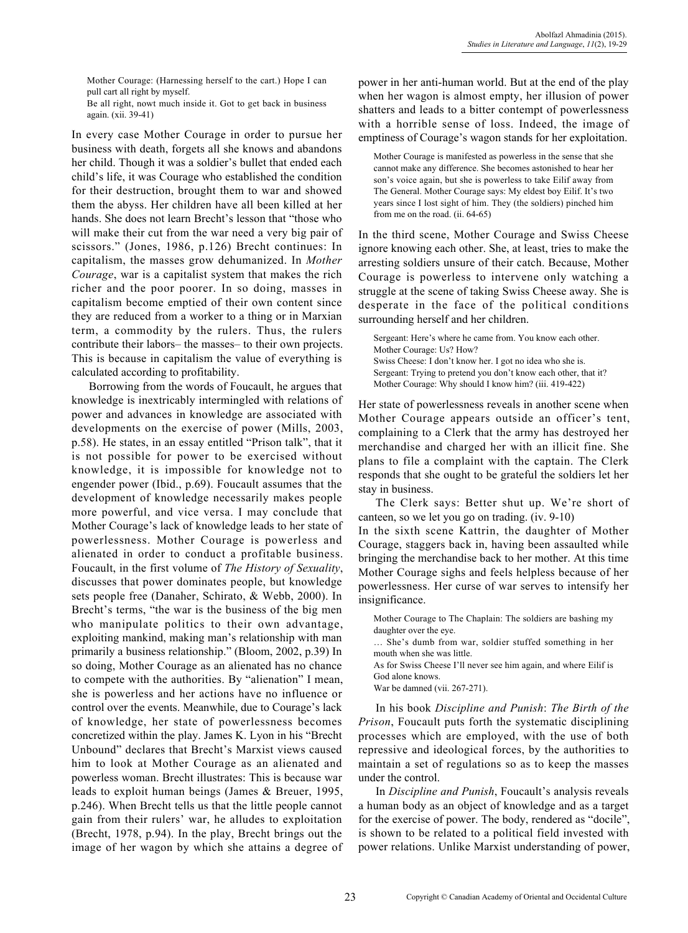Mother Courage: (Harnessing herself to the cart.) Hope I can pull cart all right by myself.

Be all right, nowt much inside it. Got to get back in business again. (xii. 39-41)

In every case Mother Courage in order to pursue her business with death, forgets all she knows and abandons her child. Though it was a soldier's bullet that ended each child's life, it was Courage who established the condition for their destruction, brought them to war and showed them the abyss. Her children have all been killed at her hands. She does not learn Brecht's lesson that "those who will make their cut from the war need a very big pair of scissors." (Jones, 1986, p.126) Brecht continues: In capitalism, the masses grow dehumanized. In *Mother Courage*, war is a capitalist system that makes the rich richer and the poor poorer. In so doing, masses in capitalism become emptied of their own content since they are reduced from a worker to a thing or in Marxian term, a commodity by the rulers. Thus, the rulers contribute their labors– the masses– to their own projects. This is because in capitalism the value of everything is calculated according to profitability.

Borrowing from the words of Foucault, he argues that knowledge is inextricably intermingled with relations of power and advances in knowledge are associated with developments on the exercise of power (Mills, 2003, p.58). He states, in an essay entitled "Prison talk", that it is not possible for power to be exercised without knowledge, it is impossible for knowledge not to engender power (Ibid., p.69). Foucault assumes that the development of knowledge necessarily makes people more powerful, and vice versa. I may conclude that Mother Courage's lack of knowledge leads to her state of powerlessness. Mother Courage is powerless and alienated in order to conduct a profitable business. Foucault, in the first volume of *The History of Sexuality*, discusses that power dominates people, but knowledge sets people free (Danaher, Schirato, & Webb, 2000). In Brecht's terms, "the war is the business of the big men who manipulate politics to their own advantage, exploiting mankind, making man's relationship with man primarily a business relationship." (Bloom, 2002, p.39) In so doing, Mother Courage as an alienated has no chance to compete with the authorities. By "alienation" I mean, she is powerless and her actions have no influence or control over the events. Meanwhile, due to Courage's lack of knowledge, her state of powerlessness becomes concretized within the play. James K. Lyon in his "Brecht Unbound" declares that Brecht's Marxist views caused him to look at Mother Courage as an alienated and powerless woman. Brecht illustrates: This is because war leads to exploit human beings (James & Breuer, 1995, p.246). When Brecht tells us that the little people cannot gain from their rulers' war, he alludes to exploitation (Brecht, 1978, p.94). In the play, Brecht brings out the image of her wagon by which she attains a degree of power in her anti-human world. But at the end of the play when her wagon is almost empty, her illusion of power shatters and leads to a bitter contempt of powerlessness with a horrible sense of loss. Indeed, the image of emptiness of Courage's wagon stands for her exploitation.

Mother Courage is manifested as powerless in the sense that she cannot make any difference. She becomes astonished to hear her son's voice again, but she is powerless to take Eilif away from The General. Mother Courage says: My eldest boy Eilif. It's two years since I lost sight of him. They (the soldiers) pinched him from me on the road. (ii. 64-65)

In the third scene, Mother Courage and Swiss Cheese ignore knowing each other. She, at least, tries to make the arresting soldiers unsure of their catch. Because, Mother Courage is powerless to intervene only watching a struggle at the scene of taking Swiss Cheese away. She is desperate in the face of the political conditions surrounding herself and her children.

Sergeant: Here's where he came from. You know each other. Mother Courage: Us? How? Swiss Cheese: I don't know her. I got no idea who she is. Sergeant: Trying to pretend you don't know each other, that it? Mother Courage: Why should I know him? (iii. 419-422)

Her state of powerlessness reveals in another scene when Mother Courage appears outside an officer's tent, complaining to a Clerk that the army has destroyed her merchandise and charged her with an illicit fine. She plans to file a complaint with the captain. The Clerk responds that she ought to be grateful the soldiers let her stay in business.

The Clerk says: Better shut up. We're short of canteen, so we let you go on trading. (iv. 9-10) In the sixth scene Kattrin, the daughter of Mother Courage, staggers back in, having been assaulted while bringing the merchandise back to her mother. At this time Mother Courage sighs and feels helpless because of her powerlessness. Her curse of war serves to intensify her

Mother Courage to The Chaplain: The soldiers are bashing my daughter over the eye.

… She's dumb from war, soldier stuffed something in her mouth when she was little.

As for Swiss Cheese I'll never see him again, and where Eilif is God alone knows.

War be damned (vii. 267-271).

insignificance.

In his book *Discipline and Punish*: *The Birth of the Prison*, Foucault puts forth the systematic disciplining processes which are employed, with the use of both repressive and ideological forces, by the authorities to maintain a set of regulations so as to keep the masses under the control.

In *Discipline and Punish*, Foucault's analysis reveals a human body as an object of knowledge and as a target for the exercise of power. The body, rendered as "docile", is shown to be related to a political field invested with power relations. Unlike Marxist understanding of power,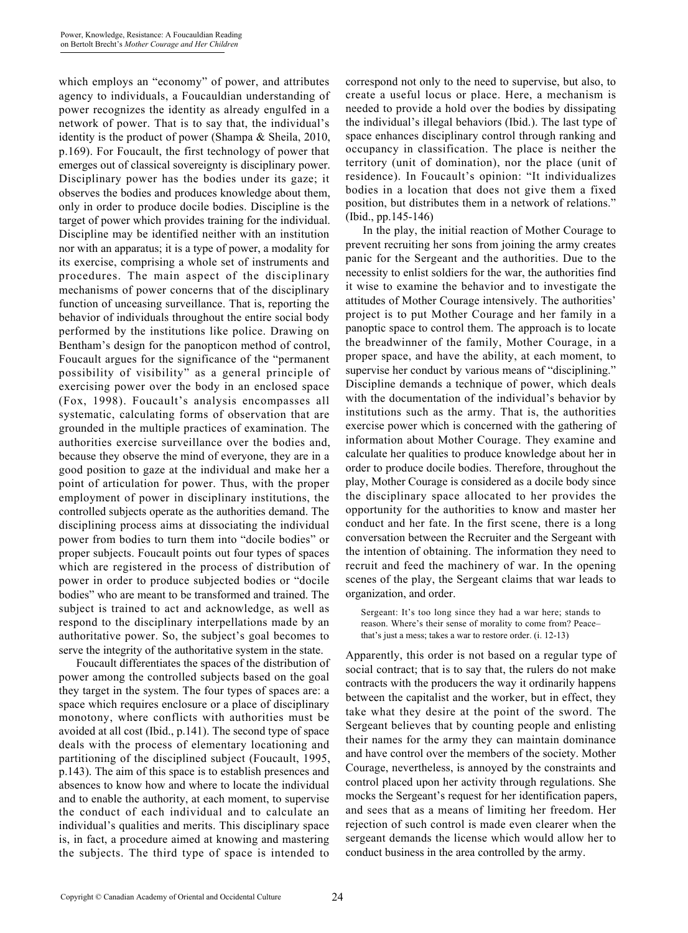which employs an "economy" of power, and attributes agency to individuals, a Foucauldian understanding of power recognizes the identity as already engulfed in a network of power. That is to say that, the individual's identity is the product of power (Shampa & Sheila, 2010, p.169). For Foucault, the first technology of power that emerges out of classical sovereignty is disciplinary power. Disciplinary power has the bodies under its gaze; it observes the bodies and produces knowledge about them, only in order to produce docile bodies. Discipline is the target of power which provides training for the individual. Discipline may be identified neither with an institution nor with an apparatus; it is a type of power, a modality for its exercise, comprising a whole set of instruments and procedures. The main aspect of the disciplinary mechanisms of power concerns that of the disciplinary function of unceasing surveillance. That is, reporting the behavior of individuals throughout the entire social body performed by the institutions like police. Drawing on Bentham's design for the panopticon method of control, Foucault argues for the significance of the "permanent possibility of visibility" as a general principle of exercising power over the body in an enclosed space (Fox, 1998). Foucault's analysis encompasses all systematic, calculating forms of observation that are grounded in the multiple practices of examination. The authorities exercise surveillance over the bodies and, because they observe the mind of everyone, they are in a good position to gaze at the individual and make her a point of articulation for power. Thus, with the proper employment of power in disciplinary institutions, the controlled subjects operate as the authorities demand. The disciplining process aims at dissociating the individual power from bodies to turn them into "docile bodies" or proper subjects. Foucault points out four types of spaces which are registered in the process of distribution of power in order to produce subjected bodies or "docile bodies" who are meant to be transformed and trained. The subject is trained to act and acknowledge, as well as respond to the disciplinary interpellations made by an authoritative power. So, the subject's goal becomes to serve the integrity of the authoritative system in the state.

Foucault differentiates the spaces of the distribution of power among the controlled subjects based on the goal they target in the system. The four types of spaces are: a space which requires enclosure or a place of disciplinary monotony, where conflicts with authorities must be avoided at all cost (Ibid., p.141). The second type of space deals with the process of elementary locationing and partitioning of the disciplined subject (Foucault, 1995, p.143). The aim of this space is to establish presences and absences to know how and where to locate the individual and to enable the authority, at each moment, to supervise the conduct of each individual and to calculate an individual's qualities and merits. This disciplinary space is, in fact, a procedure aimed at knowing and mastering the subjects. The third type of space is intended to

correspond not only to the need to supervise, but also, to create a useful locus or place. Here, a mechanism is needed to provide a hold over the bodies by dissipating the individual's illegal behaviors (Ibid.). The last type of space enhances disciplinary control through ranking and occupancy in classification. The place is neither the territory (unit of domination), nor the place (unit of residence). In Foucault's opinion: "It individualizes bodies in a location that does not give them a fixed position, but distributes them in a network of relations." (Ibid., pp.145-146)

In the play, the initial reaction of Mother Courage to prevent recruiting her sons from joining the army creates panic for the Sergeant and the authorities. Due to the necessity to enlist soldiers for the war, the authorities find it wise to examine the behavior and to investigate the attitudes of Mother Courage intensively. The authorities' project is to put Mother Courage and her family in a panoptic space to control them. The approach is to locate the breadwinner of the family, Mother Courage, in a proper space, and have the ability, at each moment, to supervise her conduct by various means of "disciplining." Discipline demands a technique of power, which deals with the documentation of the individual's behavior by institutions such as the army. That is, the authorities exercise power which is concerned with the gathering of information about Mother Courage. They examine and calculate her qualities to produce knowledge about her in order to produce docile bodies. Therefore, throughout the play, Mother Courage is considered as a docile body since the disciplinary space allocated to her provides the opportunity for the authorities to know and master her conduct and her fate. In the first scene, there is a long conversation between the Recruiter and the Sergeant with the intention of obtaining. The information they need to recruit and feed the machinery of war. In the opening scenes of the play, the Sergeant claims that war leads to organization, and order.

Sergeant: It's too long since they had a war here; stands to reason. Where's their sense of morality to come from? Peace– that's just a mess; takes a war to restore order. (i. 12-13)

Apparently, this order is not based on a regular type of social contract; that is to say that, the rulers do not make contracts with the producers the way it ordinarily happens between the capitalist and the worker, but in effect, they take what they desire at the point of the sword. The Sergeant believes that by counting people and enlisting their names for the army they can maintain dominance and have control over the members of the society. Mother Courage, nevertheless, is annoyed by the constraints and control placed upon her activity through regulations. She mocks the Sergeant's request for her identification papers, and sees that as a means of limiting her freedom. Her rejection of such control is made even clearer when the sergeant demands the license which would allow her to conduct business in the area controlled by the army.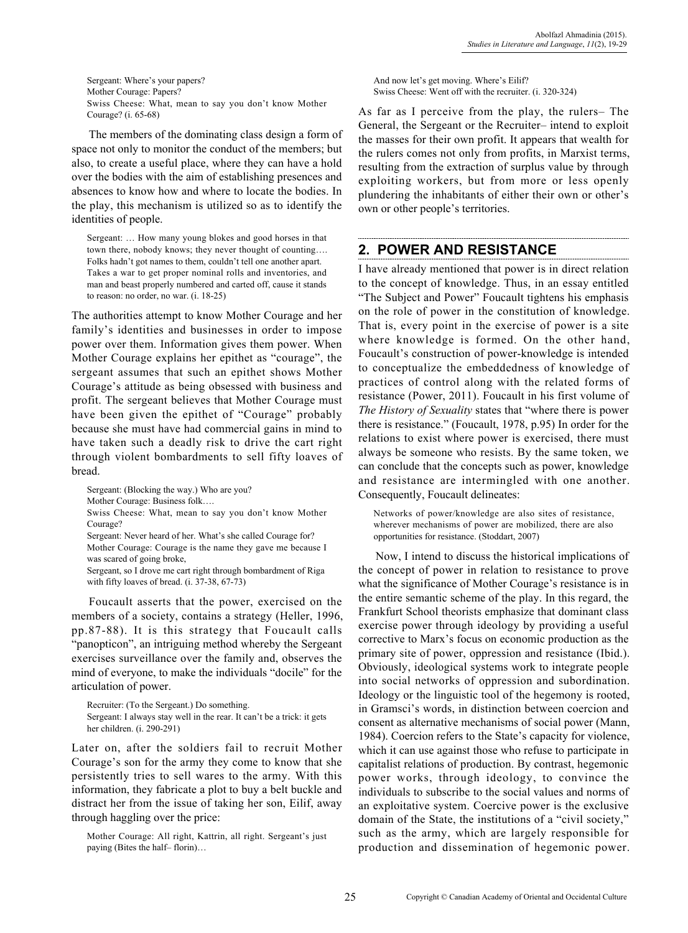Sergeant: Where's your papers? Mother Courage: Papers? Swiss Cheese: What, mean to say you don't know Mother Courage? (i. 65-68)

The members of the dominating class design a form of space not only to monitor the conduct of the members; but also, to create a useful place, where they can have a hold over the bodies with the aim of establishing presences and absences to know how and where to locate the bodies. In the play, this mechanism is utilized so as to identify the identities of people.

Sergeant: … How many young blokes and good horses in that town there, nobody knows; they never thought of counting…. Folks hadn't got names to them, couldn't tell one another apart. Takes a war to get proper nominal rolls and inventories, and man and beast properly numbered and carted off, cause it stands to reason: no order, no war. (i. 18-25)

The authorities attempt to know Mother Courage and her family's identities and businesses in order to impose power over them. Information gives them power. When Mother Courage explains her epithet as "courage", the sergeant assumes that such an epithet shows Mother Courage's attitude as being obsessed with business and profit. The sergeant believes that Mother Courage must have been given the epithet of "Courage" probably because she must have had commercial gains in mind to have taken such a deadly risk to drive the cart right through violent bombardments to sell fifty loaves of bread.

Sergeant: (Blocking the way.) Who are you?

Mother Courage: Business folk….

Swiss Cheese: What, mean to say you don't know Mother Courage?

Sergeant: Never heard of her. What's she called Courage for? Mother Courage: Courage is the name they gave me because I was scared of going broke,

Sergeant, so I drove me cart right through bombardment of Riga with fifty loaves of bread. (i. 37-38, 67-73)

Foucault asserts that the power, exercised on the members of a society, contains a strategy (Heller, 1996, pp.87-88). It is this strategy that Foucault calls "panopticon", an intriguing method whereby the Sergeant exercises surveillance over the family and, observes the mind of everyone, to make the individuals "docile" for the articulation of power.

Recruiter: (To the Sergeant.) Do something. Sergeant: I always stay well in the rear. It can't be a trick: it gets her children. (i. 290-291)

Later on, after the soldiers fail to recruit Mother Courage's son for the army they come to know that she persistently tries to sell wares to the army. With this information, they fabricate a plot to buy a belt buckle and distract her from the issue of taking her son, Eilif, away through haggling over the price:

Mother Courage: All right, Kattrin, all right. Sergeant's just paying (Bites the half– florin)…

And now let's get moving. Where's Eilif? Swiss Cheese: Went off with the recruiter. (i. 320-324)

As far as I perceive from the play, the rulers– The General, the Sergeant or the Recruiter– intend to exploit the masses for their own profit. It appears that wealth for the rulers comes not only from profits, in Marxist terms, resulting from the extraction of surplus value by through exploiting workers, but from more or less openly plundering the inhabitants of either their own or other's own or other people's territories.

### **2. POWER AND RESISTANCE**

I have already mentioned that power is in direct relation to the concept of knowledge. Thus, in an essay entitled "The Subject and Power" Foucault tightens his emphasis on the role of power in the constitution of knowledge. That is, every point in the exercise of power is a site where knowledge is formed. On the other hand, Foucault's construction of power-knowledge is intended to conceptualize the embeddedness of knowledge of practices of control along with the related forms of resistance (Power, 2011). Foucault in his first volume of *The History of Sexuality* states that "where there is power there is resistance." (Foucault, 1978, p.95) In order for the relations to exist where power is exercised, there must always be someone who resists. By the same token, we can conclude that the concepts such as power, knowledge and resistance are intermingled with one another. Consequently, Foucault delineates:

Networks of power/knowledge are also sites of resistance, wherever mechanisms of power are mobilized, there are also opportunities for resistance. (Stoddart, 2007)

Now, I intend to discuss the historical implications of the concept of power in relation to resistance to prove what the significance of Mother Courage's resistance is in the entire semantic scheme of the play. In this regard, the Frankfurt School theorists emphasize that dominant class exercise power through ideology by providing a useful corrective to Marx's focus on economic production as the primary site of power, oppression and resistance (Ibid.). Obviously, ideological systems work to integrate people into social networks of oppression and subordination. Ideology or the linguistic tool of the hegemony is rooted, in Gramsci's words, in distinction between coercion and consent as alternative mechanisms of social power (Mann, 1984). Coercion refers to the State's capacity for violence, which it can use against those who refuse to participate in capitalist relations of production. By contrast, hegemonic power works, through ideology, to convince the individuals to subscribe to the social values and norms of an exploitative system. Coercive power is the exclusive domain of the State, the institutions of a "civil society," such as the army, which are largely responsible for production and dissemination of hegemonic power.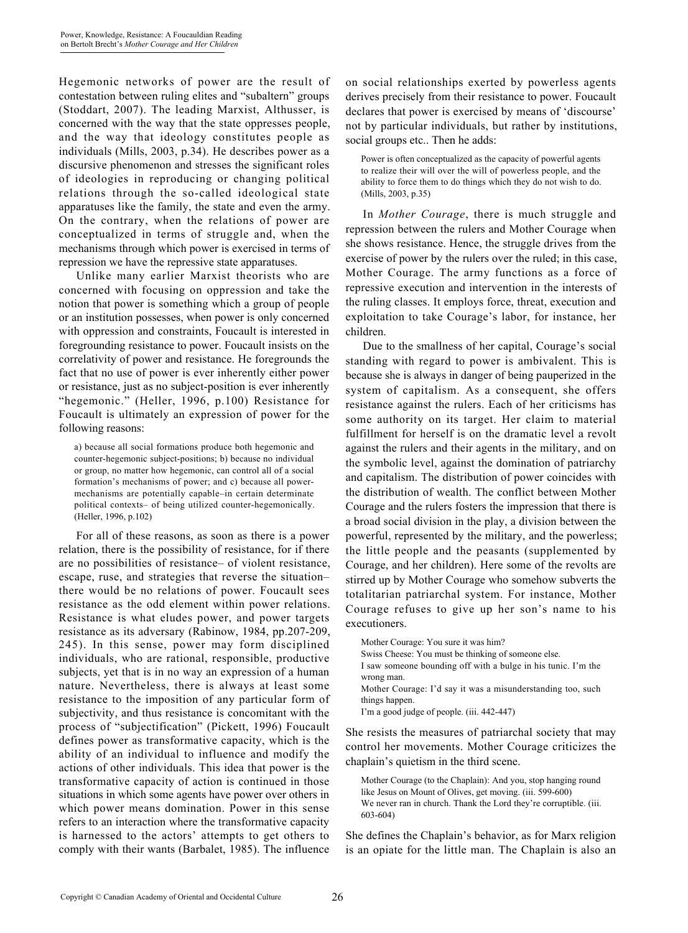Hegemonic networks of power are the result of contestation between ruling elites and "subaltern" groups (Stoddart, 2007). The leading Marxist, Althusser, is concerned with the way that the state oppresses people, and the way that ideology constitutes people as individuals (Mills, 2003, p.34). He describes power as a discursive phenomenon and stresses the significant roles of ideologies in reproducing or changing political relations through the so-called ideological state apparatuses like the family, the state and even the army. On the contrary, when the relations of power are conceptualized in terms of struggle and, when the mechanisms through which power is exercised in terms of repression we have the repressive state apparatuses.

Unlike many earlier Marxist theorists who are concerned with focusing on oppression and take the notion that power is something which a group of people or an institution possesses, when power is only concerned with oppression and constraints, Foucault is interested in foregrounding resistance to power. Foucault insists on the correlativity of power and resistance. He foregrounds the fact that no use of power is ever inherently either power or resistance, just as no subject-position is ever inherently "hegemonic." (Heller, 1996, p.100) Resistance for Foucault is ultimately an expression of power for the following reasons:

a) because all social formations produce both hegemonic and counter-hegemonic subject-positions; b) because no individual or group, no matter how hegemonic, can control all of a social formation's mechanisms of power; and c) because all powermechanisms are potentially capable–in certain determinate political contexts– of being utilized counter-hegemonically. (Heller, 1996, p.102)

For all of these reasons, as soon as there is a power relation, there is the possibility of resistance, for if there are no possibilities of resistance– of violent resistance, escape, ruse, and strategies that reverse the situation– there would be no relations of power. Foucault sees resistance as the odd element within power relations. Resistance is what eludes power, and power targets resistance as its adversary (Rabinow, 1984, pp.207-209, 245). In this sense, power may form disciplined individuals, who are rational, responsible, productive subjects, yet that is in no way an expression of a human nature. Nevertheless, there is always at least some resistance to the imposition of any particular form of subjectivity, and thus resistance is concomitant with the process of "subjectification" (Pickett, 1996) Foucault defines power as transformative capacity, which is the ability of an individual to influence and modify the actions of other individuals. This idea that power is the transformative capacity of action is continued in those situations in which some agents have power over others in which power means domination. Power in this sense refers to an interaction where the transformative capacity is harnessed to the actors' attempts to get others to comply with their wants (Barbalet, 1985). The influence

on social relationships exerted by powerless agents derives precisely from their resistance to power. Foucault declares that power is exercised by means of 'discourse' not by particular individuals, but rather by institutions, social groups etc.. Then he adds:

Power is often conceptualized as the capacity of powerful agents to realize their will over the will of powerless people, and the ability to force them to do things which they do not wish to do. (Mills, 2003, p.35)

In *Mother Courage*, there is much struggle and repression between the rulers and Mother Courage when she shows resistance. Hence, the struggle drives from the exercise of power by the rulers over the ruled; in this case, Mother Courage. The army functions as a force of repressive execution and intervention in the interests of the ruling classes. It employs force, threat, execution and exploitation to take Courage's labor, for instance, her children.

Due to the smallness of her capital, Courage's social standing with regard to power is ambivalent. This is because she is always in danger of being pauperized in the system of capitalism. As a consequent, she offers resistance against the rulers. Each of her criticisms has some authority on its target. Her claim to material fulfillment for herself is on the dramatic level a revolt against the rulers and their agents in the military, and on the symbolic level, against the domination of patriarchy and capitalism. The distribution of power coincides with the distribution of wealth. The conflict between Mother Courage and the rulers fosters the impression that there is a broad social division in the play, a division between the powerful, represented by the military, and the powerless; the little people and the peasants (supplemented by Courage, and her children). Here some of the revolts are stirred up by Mother Courage who somehow subverts the totalitarian patriarchal system. For instance, Mother Courage refuses to give up her son's name to his executioners.

Mother Courage: You sure it was him? Swiss Cheese: You must be thinking of someone else. I saw someone bounding off with a bulge in his tunic. I'm the wrong man. Mother Courage: I'd say it was a misunderstanding too, such things happen. I'm a good judge of people. (iii. 442-447)

She resists the measures of patriarchal society that may control her movements. Mother Courage criticizes the chaplain's quietism in the third scene.

Mother Courage (to the Chaplain): And you, stop hanging round like Jesus on Mount of Olives, get moving. (iii. 599-600) We never ran in church. Thank the Lord they're corruptible. (iii. 603-604)

She defines the Chaplain's behavior, as for Marx religion is an opiate for the little man. The Chaplain is also an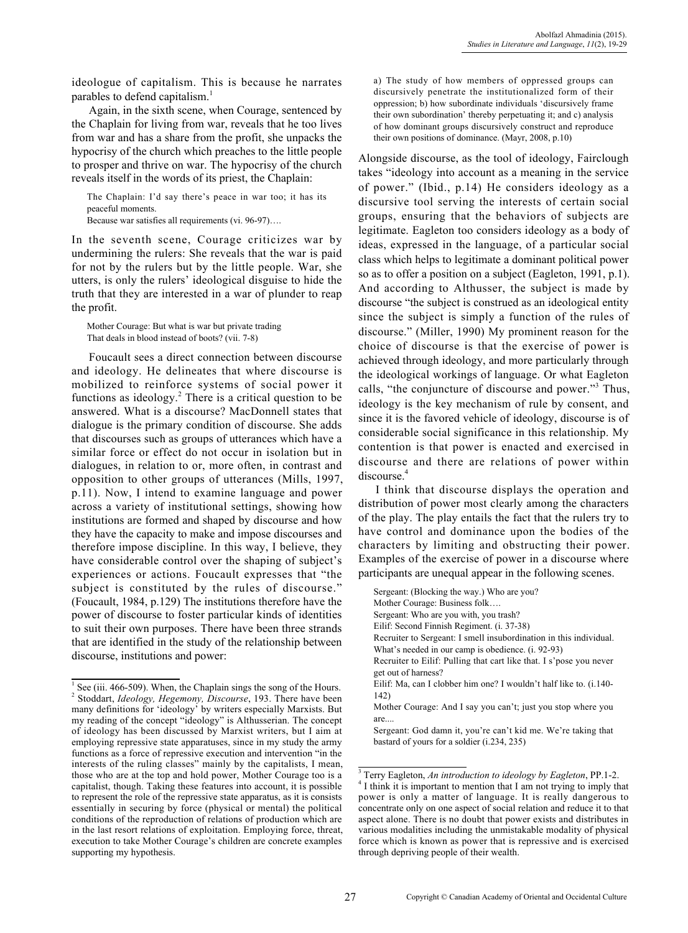ideologue of capitalism. This is because he narrates parables to defend capitalism.<sup>1</sup>

Again, in the sixth scene, when Courage, sentenced by the Chaplain for living from war, reveals that he too lives from war and has a share from the profit, she unpacks the hypocrisy of the church which preaches to the little people to prosper and thrive on war. The hypocrisy of the church reveals itself in the words of its priest, the Chaplain:

The Chaplain: I'd say there's peace in war too; it has its peaceful moments.

Because war satisfies all requirements (vi. 96-97)….

In the seventh scene, Courage criticizes war by undermining the rulers: She reveals that the war is paid for not by the rulers but by the little people. War, she utters, is only the rulers' ideological disguise to hide the truth that they are interested in a war of plunder to reap the profit.

Mother Courage: But what is war but private trading That deals in blood instead of boots? (vii. 7-8)

Foucault sees a direct connection between discourse and ideology. He delineates that where discourse is mobilized to reinforce systems of social power it functions as ideology.<sup>2</sup> There is a critical question to be answered. What is a discourse? MacDonnell states that dialogue is the primary condition of discourse. She adds that discourses such as groups of utterances which have a similar force or effect do not occur in isolation but in dialogues, in relation to or, more often, in contrast and opposition to other groups of utterances (Mills, 1997, p.11). Now, I intend to examine language and power across a variety of institutional settings, showing how institutions are formed and shaped by discourse and how they have the capacity to make and impose discourses and therefore impose discipline. In this way, I believe, they have considerable control over the shaping of subject's experiences or actions. Foucault expresses that "the subject is constituted by the rules of discourse." (Foucault, 1984, p.129) The institutions therefore have the power of discourse to foster particular kinds of identities to suit their own purposes. There have been three strands that are identified in the study of the relationship between discourse, institutions and power:

a) The study of how members of oppressed groups can discursively penetrate the institutionalized form of their oppression; b) how subordinate individuals 'discursively frame their own subordination' thereby perpetuating it; and c) analysis of how dominant groups discursively construct and reproduce their own positions of dominance. (Mayr, 2008, p.10)

Alongside discourse, as the tool of ideology, Fairclough takes "ideology into account as a meaning in the service of power." (Ibid., p.14) He considers ideology as a discursive tool serving the interests of certain social groups, ensuring that the behaviors of subjects are legitimate. Eagleton too considers ideology as a body of ideas, expressed in the language, of a particular social class which helps to legitimate a dominant political power so as to offer a position on a subject (Eagleton, 1991, p.1). And according to Althusser, the subject is made by discourse "the subject is construed as an ideological entity since the subject is simply a function of the rules of discourse." (Miller, 1990) My prominent reason for the choice of discourse is that the exercise of power is achieved through ideology, and more particularly through the ideological workings of language. Or what Eagleton calls, "the conjuncture of discourse and power."<sup>3</sup> Thus, ideology is the key mechanism of rule by consent, and since it is the favored vehicle of ideology, discourse is of considerable social significance in this relationship. My contention is that power is enacted and exercised in discourse and there are relations of power within discourse.<sup>4</sup>

I think that discourse displays the operation and distribution of power most clearly among the characters of the play. The play entails the fact that the rulers try to have control and dominance upon the bodies of the characters by limiting and obstructing their power. Examples of the exercise of power in a discourse where participants are unequal appear in the following scenes.

 $<sup>1</sup>$  See (iii. 466-509). When, the Chaplain sings the song of the Hours.</sup> 2 Stoddart, *Ideology, Hegemony, Discourse*, 193. There have been many definitions for 'ideology' by writers especially Marxists. But my reading of the concept "ideology" is Althusserian. The concept of ideology has been discussed by Marxist writers, but I aim at employing repressive state apparatuses, since in my study the army functions as a force of repressive execution and intervention "in the interests of the ruling classes" mainly by the capitalists, I mean, those who are at the top and hold power, Mother Courage too is a capitalist, though. Taking these features into account, it is possible to represent the role of the repressive state apparatus, as it is consists essentially in securing by force (physical or mental) the political conditions of the reproduction of relations of production which are in the last resort relations of exploitation. Employing force, threat, execution to take Mother Courage's children are concrete examples supporting my hypothesis.

Sergeant: (Blocking the way.) Who are you? Mother Courage: Business folk…. Sergeant: Who are you with, you trash? Eilif: Second Finnish Regiment. (i. 37-38) Recruiter to Sergeant: I smell insubordination in this individual. What's needed in our camp is obedience. (i. 92-93) Recruiter to Eilif: Pulling that cart like that. I s'pose you never get out of harness? Eilif: Ma, can I clobber him one? I wouldn't half like to. (i.140- 142) Mother Courage: And I say you can't; just you stop where you are.... Sergeant: God damn it, you're can't kid me. We're taking that bastard of yours for a soldier (i.234, 235)

<sup>3</sup> Terry Eagleton, *An introduction to ideology by Eagleton*, PP.1-2. <sup>4</sup> I think it is important to mention that I am not trying to imply that power is only a matter of language. It is really dangerous to concentrate only on one aspect of social relation and reduce it to that aspect alone. There is no doubt that power exists and distributes in various modalities including the unmistakable modality of physical force which is known as power that is repressive and is exercised through depriving people of their wealth.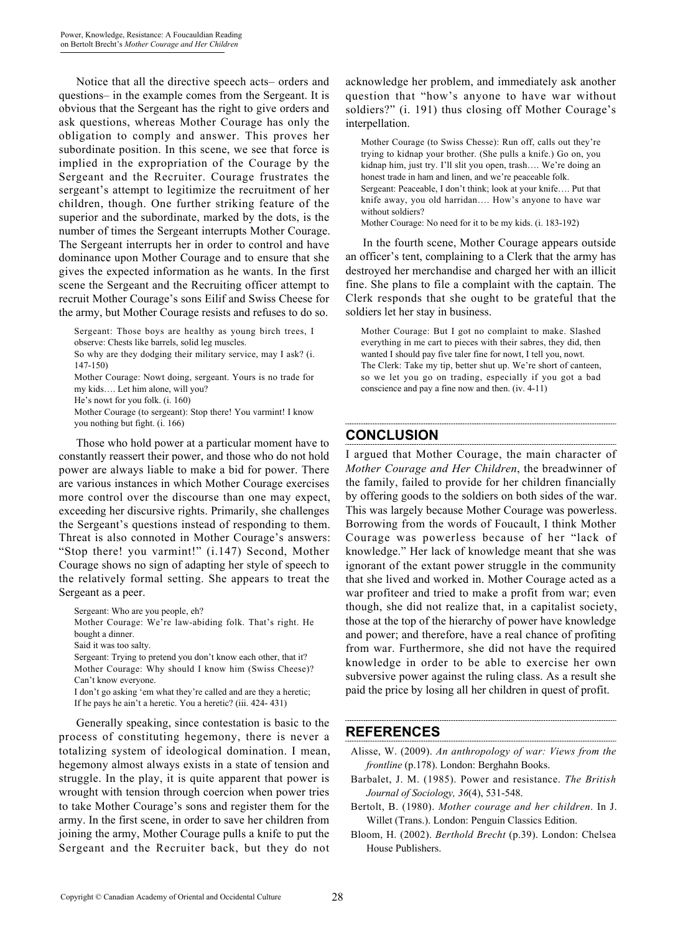Notice that all the directive speech acts– orders and questions– in the example comes from the Sergeant. It is obvious that the Sergeant has the right to give orders and ask questions, whereas Mother Courage has only the obligation to comply and answer. This proves her subordinate position. In this scene, we see that force is implied in the expropriation of the Courage by the Sergeant and the Recruiter. Courage frustrates the sergeant's attempt to legitimize the recruitment of her children, though. One further striking feature of the superior and the subordinate, marked by the dots, is the number of times the Sergeant interrupts Mother Courage. The Sergeant interrupts her in order to control and have dominance upon Mother Courage and to ensure that she gives the expected information as he wants. In the first scene the Sergeant and the Recruiting officer attempt to recruit Mother Courage's sons Eilif and Swiss Cheese for the army, but Mother Courage resists and refuses to do so.

Sergeant: Those boys are healthy as young birch trees, I observe: Chests like barrels, solid leg muscles.

So why are they dodging their military service, may I ask? (i. 147-150)

Mother Courage: Nowt doing, sergeant. Yours is no trade for my kids…. Let him alone, will you?

He's nowt for you folk. (i. 160)

Mother Courage (to sergeant): Stop there! You varmint! I know you nothing but fight. (i. 166)

Those who hold power at a particular moment have to constantly reassert their power, and those who do not hold power are always liable to make a bid for power. There are various instances in which Mother Courage exercises more control over the discourse than one may expect, exceeding her discursive rights. Primarily, she challenges the Sergeant's questions instead of responding to them. Threat is also connoted in Mother Courage's answers: "Stop there! you varmint!" (i.147) Second, Mother Courage shows no sign of adapting her style of speech to the relatively formal setting. She appears to treat the Sergeant as a peer.

Sergeant: Who are you people, eh?

Mother Courage: We're law-abiding folk. That's right. He bought a dinner.

Said it was too salty.

Sergeant: Trying to pretend you don't know each other, that it? Mother Courage: Why should I know him (Swiss Cheese)? Can't know everyone.

I don't go asking 'em what they're called and are they a heretic; If he pays he ain't a heretic. You a heretic? (iii. 424- 431)

Generally speaking, since contestation is basic to the process of constituting hegemony, there is never a totalizing system of ideological domination. I mean, hegemony almost always exists in a state of tension and struggle. In the play, it is quite apparent that power is wrought with tension through coercion when power tries to take Mother Courage's sons and register them for the army. In the first scene, in order to save her children from joining the army, Mother Courage pulls a knife to put the Sergeant and the Recruiter back, but they do not

acknowledge her problem, and immediately ask another question that "how's anyone to have war without soldiers?" (i. 191) thus closing off Mother Courage's interpellation.

Mother Courage (to Swiss Chesse): Run off, calls out they're trying to kidnap your brother. (She pulls a knife.) Go on, you kidnap him, just try. I'll slit you open, trash…. We're doing an honest trade in ham and linen, and we're peaceable folk. Sergeant: Peaceable, I don't think; look at your knife…. Put that knife away, you old harridan…. How's anyone to have war without soldiers? Mother Courage: No need for it to be my kids. (i. 183-192)

In the fourth scene, Mother Courage appears outside an officer's tent, complaining to a Clerk that the army has destroyed her merchandise and charged her with an illicit fine. She plans to file a complaint with the captain. The Clerk responds that she ought to be grateful that the soldiers let her stay in business.

Mother Courage: But I got no complaint to make. Slashed everything in me cart to pieces with their sabres, they did, then wanted I should pay five taler fine for nowt, I tell you, nowt. The Clerk: Take my tip, better shut up. We're short of canteen, so we let you go on trading, especially if you got a bad conscience and pay a fine now and then. (iv. 4-11)

# **CONCLUSION**

I argued that Mother Courage, the main character of *Mother Courage and Her Children*, the breadwinner of the family, failed to provide for her children financially by offering goods to the soldiers on both sides of the war. This was largely because Mother Courage was powerless. Borrowing from the words of Foucault, I think Mother Courage was powerless because of her "lack of knowledge." Her lack of knowledge meant that she was ignorant of the extant power struggle in the community that she lived and worked in. Mother Courage acted as a war profiteer and tried to make a profit from war; even though, she did not realize that, in a capitalist society, those at the top of the hierarchy of power have knowledge and power; and therefore, have a real chance of profiting from war. Furthermore, she did not have the required knowledge in order to be able to exercise her own subversive power against the ruling class. As a result she paid the price by losing all her children in quest of profit.

### **REFERENCES**

- Alisse, W. (2009). *An anthropology of war: Views from the frontline* (p.178). London: Berghahn Books.
- Barbalet, J. M. (1985). Power and resistance. *The British Journal of Sociology, 36*(4), 531-548.
- Bertolt, B. (1980). *Mother courage and her children*. In J. Willet (Trans.). London: Penguin Classics Edition.
- Bloom, H. (2002). *Berthold Brecht* (p.39). London: Chelsea House Publishers.